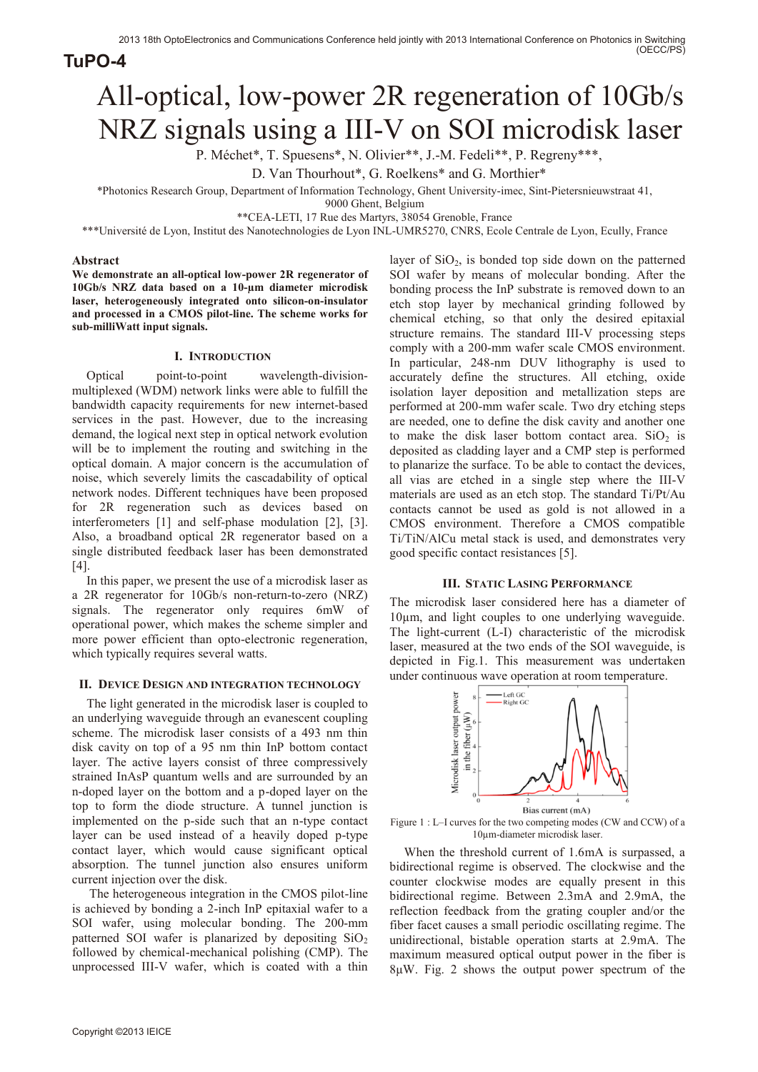**TuPO-4**

# All-optical, low-power 2R regeneration of 10Gb/s NRZ signals using a III-V on SOI microdisk laser

P. Méchet\*, T. Spuesens\*, N. Olivier\*\*, J.-M. Fedeli\*\*, P. Regreny\*\*\*,

D. Van Thourhout\*, G. Roelkens\* and G. Morthier\*

\*Photonics Research Group, Department of Information Technology, Ghent University-imec, Sint-Pietersnieuwstraat 41,

9000 Ghent, Belgium

\*\*CEA-LETI, 17 Rue des Martyrs, 38054 Grenoble, France

\*\*\*Université de Lyon, Institut des Nanotechnologies de Lyon INL-UMR5270, CNRS, Ecole Centrale de Lyon, Ecully, France

## **Abstract**

**We demonstrate an all-optical low-power 2R regenerator of 10Gb/s NRZ data based on a 10-µm diameter microdisk laser, heterogeneously integrated onto silicon-on-insulator and processed in a CMOS pilot-line. The scheme works for sub-milliWatt input signals.** 

# **I. INTRODUCTION**

Optical point-to-point wavelength-divisionmultiplexed (WDM) network links were able to fulfill the bandwidth capacity requirements for new internet-based services in the past. However, due to the increasing demand, the logical next step in optical network evolution will be to implement the routing and switching in the optical domain. A major concern is the accumulation of noise, which severely limits the cascadability of optical network nodes. Different techniques have been proposed for 2R regeneration such as devices based on interferometers [1] and self-phase modulation [2], [3]. Also, a broadband optical 2R regenerator based on a single distributed feedback laser has been demonstrated [4].

In this paper, we present the use of a microdisk laser as a 2R regenerator for 10Gb/s non-return-to-zero (NRZ) signals. The regenerator only requires 6mW of operational power, which makes the scheme simpler and more power efficient than opto-electronic regeneration, which typically requires several watts.

## **II. DEVICE DESIGN AND INTEGRATION TECHNOLOGY**

The light generated in the microdisk laser is coupled to an underlying waveguide through an evanescent coupling scheme. The microdisk laser consists of a 493 nm thin disk cavity on top of a 95 nm thin InP bottom contact layer. The active layers consist of three compressively strained InAsP quantum wells and are surrounded by an n-doped layer on the bottom and a p-doped layer on the top to form the diode structure. A tunnel junction is implemented on the p-side such that an n-type contact layer can be used instead of a heavily doped p-type contact layer, which would cause significant optical absorption. The tunnel junction also ensures uniform current injection over the disk.

The heterogeneous integration in the CMOS pilot-line is achieved by bonding a 2-inch InP epitaxial wafer to a SOI wafer, using molecular bonding. The 200-mm patterned SOI wafer is planarized by depositing  $SiO<sub>2</sub>$ followed by chemical-mechanical polishing (CMP). The unprocessed III-V wafer, which is coated with a thin layer of  $SiO<sub>2</sub>$ , is bonded top side down on the patterned SOI wafer by means of molecular bonding. After the bonding process the InP substrate is removed down to an etch stop layer by mechanical grinding followed by chemical etching, so that only the desired epitaxial structure remains. The standard III-V processing steps comply with a 200-mm wafer scale CMOS environment. In particular, 248-nm DUV lithography is used to accurately define the structures. All etching, oxide isolation layer deposition and metallization steps are performed at 200-mm wafer scale. Two dry etching steps are needed, one to define the disk cavity and another one to make the disk laser bottom contact area.  $SiO<sub>2</sub>$  is deposited as cladding layer and a CMP step is performed to planarize the surface. To be able to contact the devices, all vias are etched in a single step where the III-V materials are used as an etch stop. The standard Ti/Pt/Au contacts cannot be used as gold is not allowed in a CMOS environment. Therefore a CMOS compatible Ti/TiN/AlCu metal stack is used, and demonstrates very good specific contact resistances [5].

## **III. STATIC LASING PERFORMANCE**

The microdisk laser considered here has a diameter of 10µm, and light couples to one underlying waveguide. The light-current (L-I) characteristic of the microdisk laser, measured at the two ends of the SOI waveguide, is depicted in Fig.1. This measurement was undertaken under continuous wave operation at room temperature.





When the threshold current of 1.6mA is surpassed, a bidirectional regime is observed. The clockwise and the counter clockwise modes are equally present in this bidirectional regime. Between 2.3mA and 2.9mA, the reflection feedback from the grating coupler and/or the fiber facet causes a small periodic oscillating regime. The unidirectional, bistable operation starts at 2.9mA. The maximum measured optical output power in the fiber is 8μW. Fig. 2 shows the output power spectrum of the